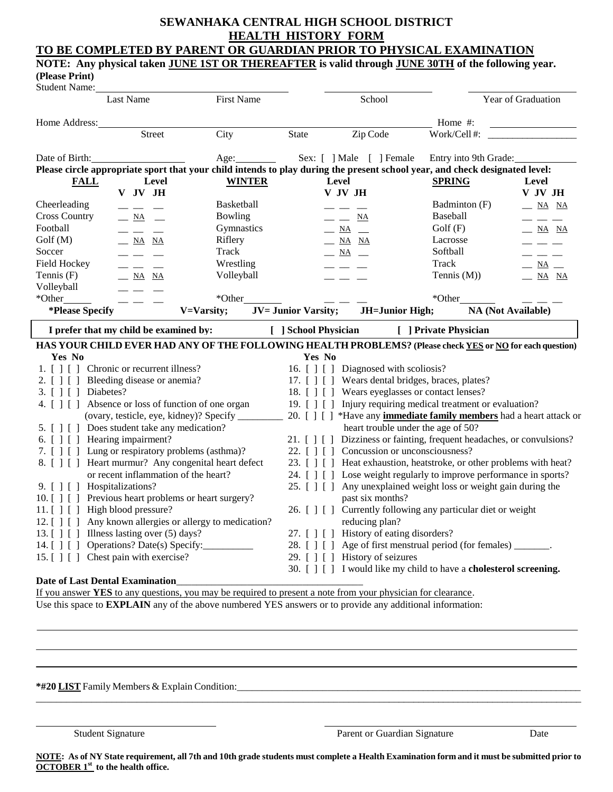# **SEWANHAKA CENTRAL HIGH SCHOOL DISTRICT HEALTH HISTORY FORM**

### **TO BE COMPLETED BY PARENT OR GUARDIAN PRIOR TO PHYSICAL EXAMINATION NOTE: Any physical taken JUNE 1ST OR THEREAFTER is valid through JUNE 30TH of the following year.**

**(Please Print)**

| Student Name:                                |                                                                                                                                                                                                                                                                                                                                                                                              |                                                                                                 |                            |                                                                                                                                                                                                                                                                                                                                                                                                |                                                                                                                             |                                                                                                                                                                                                                                                                                                                                                                                              |  |  |
|----------------------------------------------|----------------------------------------------------------------------------------------------------------------------------------------------------------------------------------------------------------------------------------------------------------------------------------------------------------------------------------------------------------------------------------------------|-------------------------------------------------------------------------------------------------|----------------------------|------------------------------------------------------------------------------------------------------------------------------------------------------------------------------------------------------------------------------------------------------------------------------------------------------------------------------------------------------------------------------------------------|-----------------------------------------------------------------------------------------------------------------------------|----------------------------------------------------------------------------------------------------------------------------------------------------------------------------------------------------------------------------------------------------------------------------------------------------------------------------------------------------------------------------------------------|--|--|
|                                              | <b>Last Name</b>                                                                                                                                                                                                                                                                                                                                                                             | <b>First Name</b>                                                                               |                            | School                                                                                                                                                                                                                                                                                                                                                                                         |                                                                                                                             | Year of Graduation                                                                                                                                                                                                                                                                                                                                                                           |  |  |
| Home Address:                                |                                                                                                                                                                                                                                                                                                                                                                                              |                                                                                                 |                            |                                                                                                                                                                                                                                                                                                                                                                                                | Home $#$ :                                                                                                                  |                                                                                                                                                                                                                                                                                                                                                                                              |  |  |
|                                              | Street                                                                                                                                                                                                                                                                                                                                                                                       | City                                                                                            | <b>State</b>               | Zip Code                                                                                                                                                                                                                                                                                                                                                                                       | Work/Cell#:                                                                                                                 |                                                                                                                                                                                                                                                                                                                                                                                              |  |  |
| Date of Birth:                               |                                                                                                                                                                                                                                                                                                                                                                                              | Age:<br>$\mathcal{L}^{\text{max}}_{\text{max}}$ , where $\mathcal{L}^{\text{max}}_{\text{max}}$ |                            | Sex: [ ] Male [ ] Female                                                                                                                                                                                                                                                                                                                                                                       | Entry into 9th Grade:                                                                                                       |                                                                                                                                                                                                                                                                                                                                                                                              |  |  |
|                                              |                                                                                                                                                                                                                                                                                                                                                                                              |                                                                                                 |                            |                                                                                                                                                                                                                                                                                                                                                                                                | Please circle appropriate sport that your child intends to play during the present school year, and check designated level: |                                                                                                                                                                                                                                                                                                                                                                                              |  |  |
| <b>FALL</b>                                  | Level                                                                                                                                                                                                                                                                                                                                                                                        | <b>WINTER</b>                                                                                   |                            | Level                                                                                                                                                                                                                                                                                                                                                                                          | <b>SPRING</b>                                                                                                               | Level                                                                                                                                                                                                                                                                                                                                                                                        |  |  |
|                                              | V JV JH                                                                                                                                                                                                                                                                                                                                                                                      |                                                                                                 |                            | V JV JH                                                                                                                                                                                                                                                                                                                                                                                        |                                                                                                                             | V JV JH                                                                                                                                                                                                                                                                                                                                                                                      |  |  |
| Cheerleading                                 | $\frac{1}{1} \frac{1}{1} \frac{1}{1} \frac{1}{1} \frac{1}{1} \frac{1}{1} \frac{1}{1} \frac{1}{1} \frac{1}{1} \frac{1}{1} \frac{1}{1} \frac{1}{1} \frac{1}{1} \frac{1}{1} \frac{1}{1} \frac{1}{1} \frac{1}{1} \frac{1}{1} \frac{1}{1} \frac{1}{1} \frac{1}{1} \frac{1}{1} \frac{1}{1} \frac{1}{1} \frac{1}{1} \frac{1}{1} \frac{1}{1} \frac{1}{1} \frac{1}{1} \frac{1}{1} \frac{1}{1} \frac{$ | <b>Basketball</b>                                                                               |                            | ---                                                                                                                                                                                                                                                                                                                                                                                            | Badminton (F)                                                                                                               | $\frac{\overline{NA}}{\overline{MA}}$ $\frac{\overline{NA}}{\overline{MA}}$                                                                                                                                                                                                                                                                                                                  |  |  |
| <b>Cross Country</b>                         | $\frac{\text{NA}}{\text{MA}}$                                                                                                                                                                                                                                                                                                                                                                | <b>Bowling</b>                                                                                  |                            | $\frac{\phantom{0}}{2}$ $\frac{\phantom{0}}{2}$ $\frac{\phantom{0}}{2}$ $\frac{\phantom{0}}{2}$ $\frac{\phantom{0}}{2}$ $\frac{\phantom{0}}{2}$ $\frac{\phantom{0}}{2}$ $\frac{\phantom{0}}{2}$ $\frac{\phantom{0}}{2}$ $\frac{\phantom{0}}{2}$ $\frac{\phantom{0}}{2}$ $\frac{\phantom{0}}{2}$ $\frac{\phantom{0}}{2}$ $\frac{\phantom{0}}{2}$ $\frac{\phantom{0}}{2}$ $\frac{\phantom{0}}{2$ | <b>Baseball</b>                                                                                                             | $\frac{1}{2} \frac{1}{2} \frac{1}{2} \frac{1}{2} \frac{1}{2} \frac{1}{2} \frac{1}{2} \frac{1}{2} \frac{1}{2} \frac{1}{2} \frac{1}{2} \frac{1}{2} \frac{1}{2} \frac{1}{2} \frac{1}{2} \frac{1}{2} \frac{1}{2} \frac{1}{2} \frac{1}{2} \frac{1}{2} \frac{1}{2} \frac{1}{2} \frac{1}{2} \frac{1}{2} \frac{1}{2} \frac{1}{2} \frac{1}{2} \frac{1}{2} \frac{1}{2} \frac{1}{2} \frac{1}{2} \frac{$ |  |  |
| Football                                     | $\frac{1}{2} \frac{1}{2} \frac{1}{2} \frac{1}{2} \frac{1}{2} \frac{1}{2} \frac{1}{2} \frac{1}{2} \frac{1}{2} \frac{1}{2} \frac{1}{2} \frac{1}{2} \frac{1}{2} \frac{1}{2} \frac{1}{2} \frac{1}{2} \frac{1}{2} \frac{1}{2} \frac{1}{2} \frac{1}{2} \frac{1}{2} \frac{1}{2} \frac{1}{2} \frac{1}{2} \frac{1}{2} \frac{1}{2} \frac{1}{2} \frac{1}{2} \frac{1}{2} \frac{1}{2} \frac{1}{2} \frac{$ | Gymnastics                                                                                      |                            | $ \frac{NA}{ }$                                                                                                                                                                                                                                                                                                                                                                                | Golf(F)                                                                                                                     | $\_ M$ NA                                                                                                                                                                                                                                                                                                                                                                                    |  |  |
| Golf(M)                                      | $ \overline{NA}$ $\overline{NA}$                                                                                                                                                                                                                                                                                                                                                             | Riflery                                                                                         |                            | $\frac{\text{NA}}{\text{MA}}$ NA                                                                                                                                                                                                                                                                                                                                                               | Lacrosse                                                                                                                    | $\frac{1}{2} \frac{1}{2} \frac{1}{2} \frac{1}{2} \frac{1}{2} \frac{1}{2} \frac{1}{2} \frac{1}{2} \frac{1}{2} \frac{1}{2} \frac{1}{2} \frac{1}{2} \frac{1}{2} \frac{1}{2} \frac{1}{2} \frac{1}{2} \frac{1}{2} \frac{1}{2} \frac{1}{2} \frac{1}{2} \frac{1}{2} \frac{1}{2} \frac{1}{2} \frac{1}{2} \frac{1}{2} \frac{1}{2} \frac{1}{2} \frac{1}{2} \frac{1}{2} \frac{1}{2} \frac{1}{2} \frac{$ |  |  |
| Soccer                                       | $\frac{1}{2} \frac{1}{2} \frac{1}{2} \frac{1}{2} \frac{1}{2} \frac{1}{2} \frac{1}{2} \frac{1}{2} \frac{1}{2} \frac{1}{2} \frac{1}{2} \frac{1}{2} \frac{1}{2} \frac{1}{2} \frac{1}{2} \frac{1}{2} \frac{1}{2} \frac{1}{2} \frac{1}{2} \frac{1}{2} \frac{1}{2} \frac{1}{2} \frac{1}{2} \frac{1}{2} \frac{1}{2} \frac{1}{2} \frac{1}{2} \frac{1}{2} \frac{1}{2} \frac{1}{2} \frac{1}{2} \frac{$ | Track                                                                                           |                            | $ \frac{NA}{ }$ $-$                                                                                                                                                                                                                                                                                                                                                                            | Softball                                                                                                                    | $\frac{1}{2} \frac{1}{2} \frac{1}{2} \frac{1}{2} \frac{1}{2} \frac{1}{2} \frac{1}{2} \frac{1}{2} \frac{1}{2} \frac{1}{2} \frac{1}{2} \frac{1}{2} \frac{1}{2} \frac{1}{2} \frac{1}{2} \frac{1}{2} \frac{1}{2} \frac{1}{2} \frac{1}{2} \frac{1}{2} \frac{1}{2} \frac{1}{2} \frac{1}{2} \frac{1}{2} \frac{1}{2} \frac{1}{2} \frac{1}{2} \frac{1}{2} \frac{1}{2} \frac{1}{2} \frac{1}{2} \frac{$ |  |  |
| Field Hockey                                 | $\frac{1}{2} \frac{1}{2} \frac{1}{2} \frac{1}{2} \frac{1}{2} \frac{1}{2} \frac{1}{2} \frac{1}{2} \frac{1}{2} \frac{1}{2} \frac{1}{2} \frac{1}{2} \frac{1}{2} \frac{1}{2} \frac{1}{2} \frac{1}{2} \frac{1}{2} \frac{1}{2} \frac{1}{2} \frac{1}{2} \frac{1}{2} \frac{1}{2} \frac{1}{2} \frac{1}{2} \frac{1}{2} \frac{1}{2} \frac{1}{2} \frac{1}{2} \frac{1}{2} \frac{1}{2} \frac{1}{2} \frac{$ | Wrestling                                                                                       |                            | $\frac{1}{1} \frac{1}{1} \frac{1}{1} \frac{1}{1} \frac{1}{1} \frac{1}{1} \frac{1}{1} \frac{1}{1} \frac{1}{1} \frac{1}{1} \frac{1}{1} \frac{1}{1} \frac{1}{1} \frac{1}{1} \frac{1}{1} \frac{1}{1} \frac{1}{1} \frac{1}{1} \frac{1}{1} \frac{1}{1} \frac{1}{1} \frac{1}{1} \frac{1}{1} \frac{1}{1} \frac{1}{1} \frac{1}{1} \frac{1}{1} \frac{1}{1} \frac{1}{1} \frac{1}{1} \frac{1}{1} \frac{$   | Track                                                                                                                       | $ \frac{NA}{}$ $-$                                                                                                                                                                                                                                                                                                                                                                           |  |  |
| Tennis (F)                                   | $\_ M$ $\_ NA$                                                                                                                                                                                                                                                                                                                                                                               | Volleyball                                                                                      |                            |                                                                                                                                                                                                                                                                                                                                                                                                | Tennis $(M)$ )                                                                                                              | $\frac{\mathbf{NA}}{\mathbf{NA}}$ NA                                                                                                                                                                                                                                                                                                                                                         |  |  |
| Volleyball                                   | $\frac{1}{2} \frac{1}{2} \frac{1}{2} \frac{1}{2} \frac{1}{2} \frac{1}{2} \frac{1}{2} \frac{1}{2} \frac{1}{2} \frac{1}{2} \frac{1}{2} \frac{1}{2} \frac{1}{2} \frac{1}{2} \frac{1}{2} \frac{1}{2} \frac{1}{2} \frac{1}{2} \frac{1}{2} \frac{1}{2} \frac{1}{2} \frac{1}{2} \frac{1}{2} \frac{1}{2} \frac{1}{2} \frac{1}{2} \frac{1}{2} \frac{1}{2} \frac{1}{2} \frac{1}{2} \frac{1}{2} \frac{$ |                                                                                                 |                            |                                                                                                                                                                                                                                                                                                                                                                                                |                                                                                                                             |                                                                                                                                                                                                                                                                                                                                                                                              |  |  |
| *Other                                       | $\frac{1}{2}$                                                                                                                                                                                                                                                                                                                                                                                | *Other                                                                                          |                            |                                                                                                                                                                                                                                                                                                                                                                                                | *Other                                                                                                                      |                                                                                                                                                                                                                                                                                                                                                                                              |  |  |
| *Please Specify                              |                                                                                                                                                                                                                                                                                                                                                                                              | V=Varsity;                                                                                      | <b>JV= Junior Varsity;</b> | <b>JH=Junior High;</b>                                                                                                                                                                                                                                                                                                                                                                         |                                                                                                                             | <b>NA</b> (Not Available)                                                                                                                                                                                                                                                                                                                                                                    |  |  |
|                                              | I prefer that my child be examined by:                                                                                                                                                                                                                                                                                                                                                       |                                                                                                 | [ ] School Physician       |                                                                                                                                                                                                                                                                                                                                                                                                | [ ] Private Physician                                                                                                       |                                                                                                                                                                                                                                                                                                                                                                                              |  |  |
|                                              |                                                                                                                                                                                                                                                                                                                                                                                              |                                                                                                 |                            |                                                                                                                                                                                                                                                                                                                                                                                                | HAS YOUR CHILD EVER HAD ANY OF THE FOLLOWING HEALTH PROBLEMS? (Please check <u>YES</u> or <u>NO</u> for each question)      |                                                                                                                                                                                                                                                                                                                                                                                              |  |  |
| Yes No                                       |                                                                                                                                                                                                                                                                                                                                                                                              |                                                                                                 | Yes No                     |                                                                                                                                                                                                                                                                                                                                                                                                |                                                                                                                             |                                                                                                                                                                                                                                                                                                                                                                                              |  |  |
|                                              | 1. [ ] [ ] Chronic or recurrent illness?                                                                                                                                                                                                                                                                                                                                                     |                                                                                                 |                            | 16. [ ] [ ] Diagnosed with scoliosis?                                                                                                                                                                                                                                                                                                                                                          |                                                                                                                             |                                                                                                                                                                                                                                                                                                                                                                                              |  |  |
|                                              | 2. [ ] [ ] Bleeding disease or anemia?                                                                                                                                                                                                                                                                                                                                                       |                                                                                                 |                            | 17. [ ] [ ] Wears dental bridges, braces, plates?                                                                                                                                                                                                                                                                                                                                              |                                                                                                                             |                                                                                                                                                                                                                                                                                                                                                                                              |  |  |
| 3. [ ] [ ] Diabetes?                         |                                                                                                                                                                                                                                                                                                                                                                                              |                                                                                                 |                            | 18. [ ] [ ] Wears eyeglasses or contact lenses?                                                                                                                                                                                                                                                                                                                                                |                                                                                                                             |                                                                                                                                                                                                                                                                                                                                                                                              |  |  |
|                                              | 4. [ ] [ ] Absence or loss of function of one organ                                                                                                                                                                                                                                                                                                                                          |                                                                                                 |                            |                                                                                                                                                                                                                                                                                                                                                                                                | 19. [ ] [ ] Injury requiring medical treatment or evaluation?                                                               |                                                                                                                                                                                                                                                                                                                                                                                              |  |  |
|                                              |                                                                                                                                                                                                                                                                                                                                                                                              | (ovary, testicle, eye, kidney)? Specify ________                                                |                            |                                                                                                                                                                                                                                                                                                                                                                                                | 20. [] [] *Have any <i>immediate family members</i> had a heart attack or                                                   |                                                                                                                                                                                                                                                                                                                                                                                              |  |  |
| 5. [ ] [ ] Does student take any medication? |                                                                                                                                                                                                                                                                                                                                                                                              |                                                                                                 |                            |                                                                                                                                                                                                                                                                                                                                                                                                | heart trouble under the age of 50?                                                                                          |                                                                                                                                                                                                                                                                                                                                                                                              |  |  |
|                                              | 6. [ ] [ ] Hearing impairment?                                                                                                                                                                                                                                                                                                                                                               |                                                                                                 |                            |                                                                                                                                                                                                                                                                                                                                                                                                | 21. [ ] [ ] Dizziness or fainting, frequent headaches, or convulsions?                                                      |                                                                                                                                                                                                                                                                                                                                                                                              |  |  |
|                                              | 7. [ ] [ ] Lung or respiratory problems (asthma)?                                                                                                                                                                                                                                                                                                                                            |                                                                                                 |                            |                                                                                                                                                                                                                                                                                                                                                                                                | 22. [ ] [ ] Concussion or unconsciousness?                                                                                  |                                                                                                                                                                                                                                                                                                                                                                                              |  |  |
|                                              | 8. [ ] [ ] Heart murmur? Any congenital heart defect                                                                                                                                                                                                                                                                                                                                         |                                                                                                 |                            |                                                                                                                                                                                                                                                                                                                                                                                                | 23. [ ] [ ] Heat exhaustion, heatstroke, or other problems with heat?                                                       |                                                                                                                                                                                                                                                                                                                                                                                              |  |  |
|                                              | or recent inflammation of the heart?                                                                                                                                                                                                                                                                                                                                                         |                                                                                                 |                            |                                                                                                                                                                                                                                                                                                                                                                                                | 24. [ ] [ ] Lose weight regularly to improve performance in sports?                                                         |                                                                                                                                                                                                                                                                                                                                                                                              |  |  |
|                                              | 9. [ ] [ ] Hospitalizations?                                                                                                                                                                                                                                                                                                                                                                 |                                                                                                 |                            |                                                                                                                                                                                                                                                                                                                                                                                                | 25. [ ] [ ] Any unexplained weight loss or weight gain during the                                                           |                                                                                                                                                                                                                                                                                                                                                                                              |  |  |
|                                              | 10. [ ] [ ] Previous heart problems or heart surgery?                                                                                                                                                                                                                                                                                                                                        |                                                                                                 |                            | past six months?                                                                                                                                                                                                                                                                                                                                                                               |                                                                                                                             |                                                                                                                                                                                                                                                                                                                                                                                              |  |  |
|                                              | 11. [ ] [ ] High blood pressure?                                                                                                                                                                                                                                                                                                                                                             |                                                                                                 |                            |                                                                                                                                                                                                                                                                                                                                                                                                | 26. [ ] [ ] Currently following any particular diet or weight                                                               |                                                                                                                                                                                                                                                                                                                                                                                              |  |  |
|                                              | 12. [ ] [ ] Any known allergies or allergy to medication?                                                                                                                                                                                                                                                                                                                                    |                                                                                                 |                            | reducing plan?                                                                                                                                                                                                                                                                                                                                                                                 |                                                                                                                             |                                                                                                                                                                                                                                                                                                                                                                                              |  |  |
|                                              | 13. [ ] [ ] Illness lasting over (5) days?                                                                                                                                                                                                                                                                                                                                                   |                                                                                                 |                            | 27. [ ] [ ] History of eating disorders?                                                                                                                                                                                                                                                                                                                                                       |                                                                                                                             |                                                                                                                                                                                                                                                                                                                                                                                              |  |  |
|                                              | 14. [ ] [ ] Operations? Date(s) Specify:                                                                                                                                                                                                                                                                                                                                                     |                                                                                                 |                            |                                                                                                                                                                                                                                                                                                                                                                                                | 28. [ ] [ ] Age of first menstrual period (for females) _______.                                                            |                                                                                                                                                                                                                                                                                                                                                                                              |  |  |
|                                              | 15. [ ] [ ] Chest pain with exercise?                                                                                                                                                                                                                                                                                                                                                        |                                                                                                 |                            | 29. [ ] [ ] History of seizures                                                                                                                                                                                                                                                                                                                                                                |                                                                                                                             |                                                                                                                                                                                                                                                                                                                                                                                              |  |  |
|                                              |                                                                                                                                                                                                                                                                                                                                                                                              |                                                                                                 |                            |                                                                                                                                                                                                                                                                                                                                                                                                | 30. [ ] [ ] I would like my child to have a cholesterol screening.                                                          |                                                                                                                                                                                                                                                                                                                                                                                              |  |  |
|                                              | <b>Date of Last Dental Examination</b>                                                                                                                                                                                                                                                                                                                                                       |                                                                                                 |                            |                                                                                                                                                                                                                                                                                                                                                                                                |                                                                                                                             |                                                                                                                                                                                                                                                                                                                                                                                              |  |  |

## If you answer **YES** to any questions, you may be required to present a note from your physician for clearance.

Use this space to **EXPLAIN** any of the above numbered YES answers or to provide any additional information:

#### \*#20 LIST Family Members & Explain Condition:

Student Signature Parent or Guardian Signature Date

**NOTE: As of NY State requirement, all 7th and 10th grade students must complete a Health Examination form and it must be submitted prior to OCTOBER 1st to the health office.** 

\_\_\_\_\_\_\_\_\_\_\_\_\_\_\_\_\_\_\_\_\_\_\_\_\_\_\_\_\_\_\_\_\_\_\_\_\_\_\_\_\_\_\_\_\_\_\_\_\_\_\_\_\_\_\_\_\_\_\_\_\_\_\_\_\_\_\_\_\_\_\_\_\_\_\_\_\_\_\_\_\_\_\_\_\_\_\_\_\_\_\_\_\_\_\_\_\_\_\_\_\_\_\_\_\_\_\_\_\_